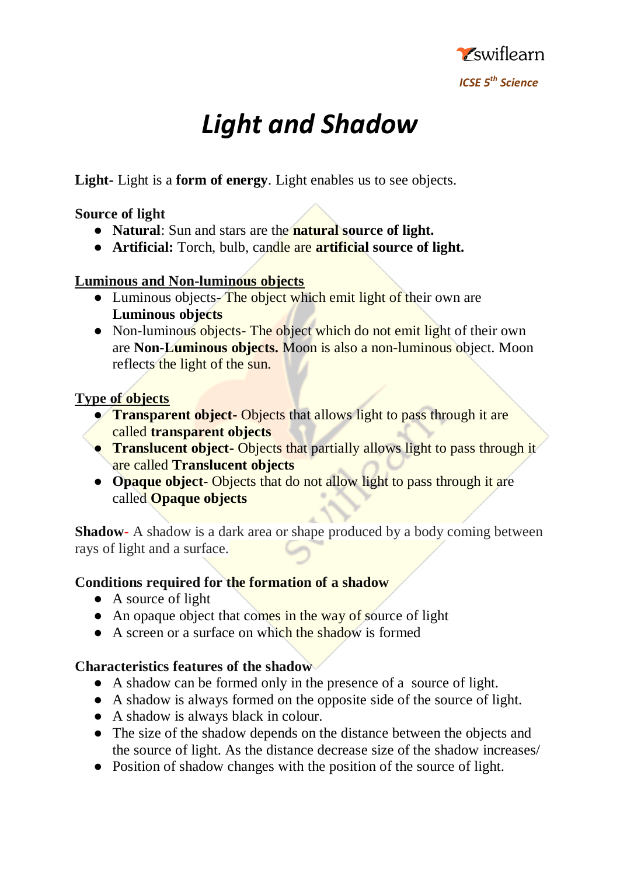

# *Light and Shadow*

**Light-** Light is a **form of energy**. Light enables us to see objects.

## **Source of light**

- **Natural**: Sun and stars are the **natural source of light.**
- **Artificial:** Torch, bulb, candle are **artificial source of light.**

# **Luminous and Non-luminous objects**

- Luminous objects- The object which emit light of their own are **Luminous objects**
- Non-luminous objects- The object which do not emit light of their own are **Non-Luminous objects.** Moon is also a non-luminous object. Moon reflects the light of the sun.

# **Type of objects**

- **Transparent object-** Objects that allows light to pass through it are called **transparent objects**
- **Translucent object-** Objects that partially allows light to pass through it are called **Translucent objects**
- **Opaque object-** Objects that do not allow light to pass through it are called **Opaque objects**

**Shadow-** A shadow is a dark area or shape produced by a body coming between rays of light and a surface.

# **Conditions required for the formation of a shadow**

- A source of light
- An opaque object that comes in the way of source of light
- A screen or a surface on which the shadow is formed

## **Characteristics features of the shadow**

- A shadow can be formed only in the presence of a source of light.
- A shadow is always formed on the opposite side of the source of light.
- A shadow is always black in colour.
- The size of the shadow depends on the distance between the objects and the source of light. As the distance decrease size of the shadow increases/
- Position of shadow changes with the position of the source of light.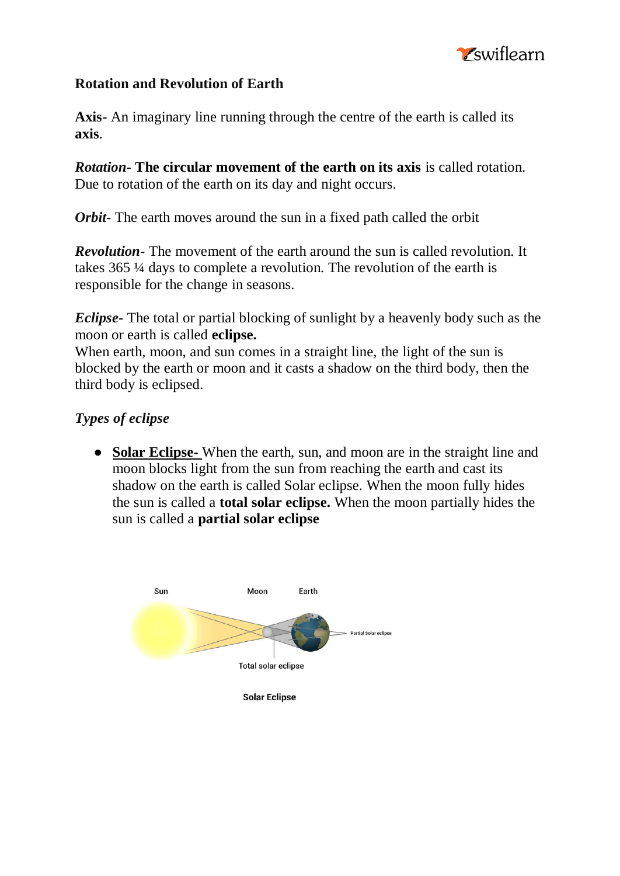

#### **Rotation and Revolution of Earth**

**Axis-** An imaginary line running through the centre of the earth is called its **axis**.

*Rotation-* **The circular movement of the earth on its axis** is called rotation. Due to rotation of the earth on its day and night occurs.

*Orbit-* The earth moves around the sun in a fixed path called the orbit

*Revolution-* The movement of the earth around the sun is called revolution. It takes 365 ¼ days to complete a revolution. The revolution of the earth is responsible for the change in seasons.

*Eclipse-* The total or partial blocking of sunlight by a heavenly body such as the moon or earth is called **eclipse.**

When earth, moon, and sun comes in a straight line, the light of the sun is blocked by the earth or moon and it casts a shadow on the third body, then the third body is eclipsed.

#### *Types of eclipse*

● **Solar Eclipse-** When the earth, sun, and moon are in the straight line and moon blocks light from the sun from reaching the earth and cast its shadow on the earth is called Solar eclipse. When the moon fully hides the sun is called a **total solar eclipse.** When the moon partially hides the sun is called a **partial solar eclipse**

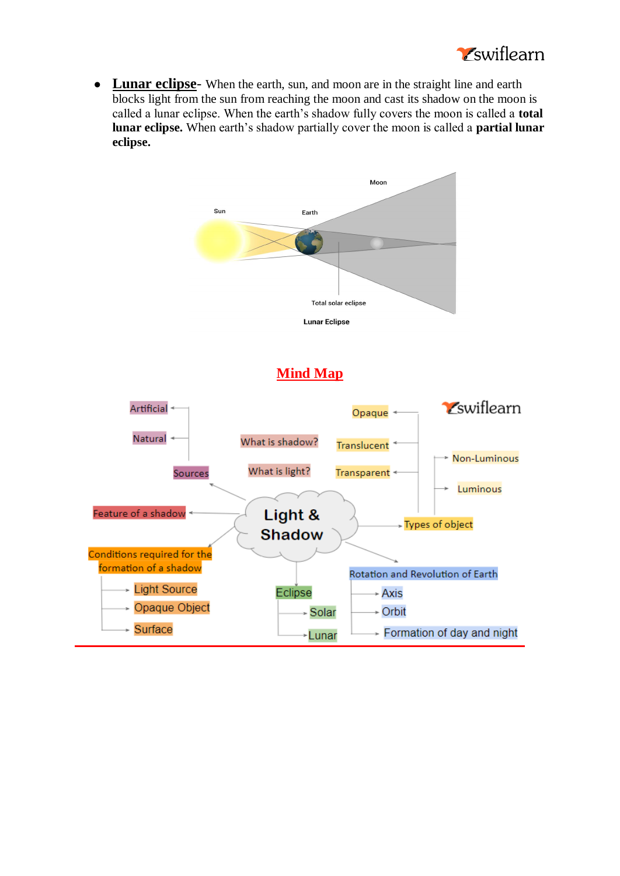

● **Lunar eclipse**- When the earth, sun, and moon are in the straight line and earth blocks light from the sun from reaching the moon and cast its shadow on the moon is called a lunar eclipse. When the earth's shadow fully covers the moon is called a **total lunar eclipse.** When earth's shadow partially cover the moon is called a **partial lunar eclipse.**



## **Mind Map**